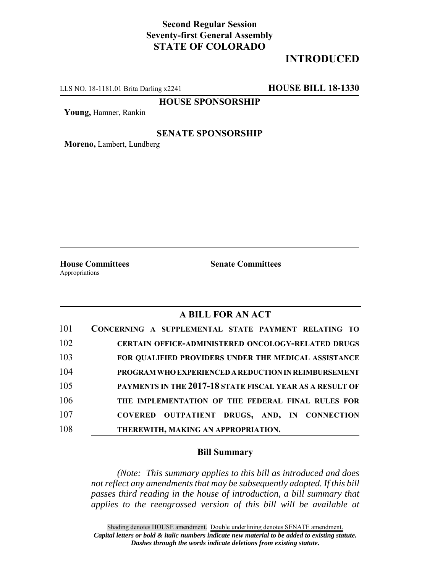# **Second Regular Session Seventy-first General Assembly STATE OF COLORADO**

# **INTRODUCED**

LLS NO. 18-1181.01 Brita Darling x2241 **HOUSE BILL 18-1330**

**HOUSE SPONSORSHIP**

**Young,** Hamner, Rankin

### **SENATE SPONSORSHIP**

**Moreno,** Lambert, Lundberg

**House Committees Senate Committees** Appropriations

## **A BILL FOR AN ACT**

| 101 | CONCERNING A SUPPLEMENTAL STATE PAYMENT RELATING TO         |
|-----|-------------------------------------------------------------|
| 102 | <b>CERTAIN OFFICE-ADMINISTERED ONCOLOGY-RELATED DRUGS</b>   |
| 103 | <b>FOR QUALIFIED PROVIDERS UNDER THE MEDICAL ASSISTANCE</b> |
| 104 | PROGRAM WHO EXPERIENCED A REDUCTION IN REIMBURSEMENT        |
| 105 | PAYMENTS IN THE 2017-18 STATE FISCAL YEAR AS A RESULT OF    |
| 106 | THE IMPLEMENTATION OF THE FEDERAL FINAL RULES FOR           |
| 107 | COVERED OUTPATIENT DRUGS, AND, IN CONNECTION                |
| 108 | THEREWITH, MAKING AN APPROPRIATION.                         |

### **Bill Summary**

*(Note: This summary applies to this bill as introduced and does not reflect any amendments that may be subsequently adopted. If this bill passes third reading in the house of introduction, a bill summary that applies to the reengrossed version of this bill will be available at*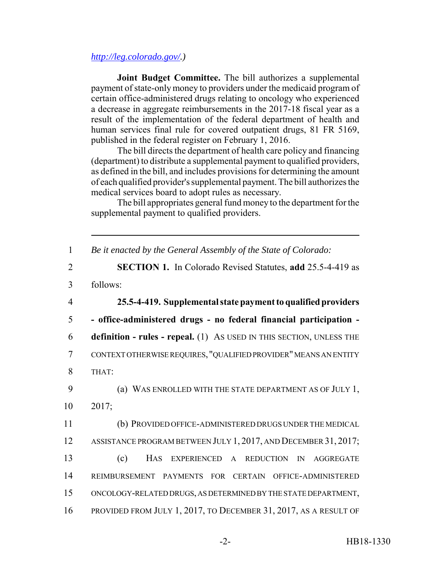### *http://leg.colorado.gov/.)*

**Joint Budget Committee.** The bill authorizes a supplemental payment of state-only money to providers under the medicaid program of certain office-administered drugs relating to oncology who experienced a decrease in aggregate reimbursements in the 2017-18 fiscal year as a result of the implementation of the federal department of health and human services final rule for covered outpatient drugs, 81 FR 5169, published in the federal register on February 1, 2016.

The bill directs the department of health care policy and financing (department) to distribute a supplemental payment to qualified providers, as defined in the bill, and includes provisions for determining the amount of each qualified provider's supplemental payment. The bill authorizes the medical services board to adopt rules as necessary.

The bill appropriates general fund money to the department for the supplemental payment to qualified providers.

| $\mathbf{1}$   | Be it enacted by the General Assembly of the State of Colorado:           |
|----------------|---------------------------------------------------------------------------|
| $\overline{2}$ | <b>SECTION 1.</b> In Colorado Revised Statutes, add 25.5-4-419 as         |
| 3              | follows:                                                                  |
| $\overline{4}$ | 25.5-4-419. Supplemental state payment to qualified providers             |
| 5              | - office-administered drugs - no federal financial participation -        |
| 6              | definition - rules - repeal. (1) As USED IN THIS SECTION, UNLESS THE      |
| $\overline{7}$ | CONTEXT OTHERWISE REQUIRES, "QUALIFIED PROVIDER" MEANS AN ENTITY          |
| 8              | THAT:                                                                     |
| 9              | (a) WAS ENROLLED WITH THE STATE DEPARTMENT AS OF JULY 1,                  |
| 10             | 2017;                                                                     |
| 11             | (b) PROVIDED OFFICE-ADMINISTERED DRUGS UNDER THE MEDICAL                  |
| 12             | ASSISTANCE PROGRAM BETWEEN JULY 1, 2017, AND DECEMBER 31, 2017;           |
| 13             | (c)<br>HAS<br>EXPERIENCED A REDUCTION<br><b>AGGREGATE</b><br>$\mathbb{N}$ |
| 14             | REIMBURSEMENT PAYMENTS FOR CERTAIN<br>OFFICE-ADMINISTERED                 |
| 15             | ONCOLOGY-RELATED DRUGS, AS DETERMINED BY THE STATE DEPARTMENT,            |
| 16             | PROVIDED FROM JULY 1, 2017, TO DECEMBER 31, 2017, AS A RESULT OF          |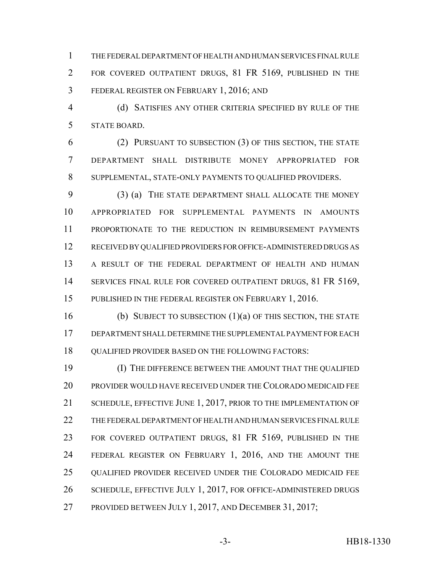THE FEDERAL DEPARTMENT OF HEALTH AND HUMAN SERVICES FINAL RULE 2 FOR COVERED OUTPATIENT DRUGS, 81 FR 5169, PUBLISHED IN THE FEDERAL REGISTER ON FEBRUARY 1, 2016; AND

 (d) SATISFIES ANY OTHER CRITERIA SPECIFIED BY RULE OF THE STATE BOARD.

 (2) PURSUANT TO SUBSECTION (3) OF THIS SECTION, THE STATE DEPARTMENT SHALL DISTRIBUTE MONEY APPROPRIATED FOR SUPPLEMENTAL, STATE-ONLY PAYMENTS TO QUALIFIED PROVIDERS.

 (3) (a) THE STATE DEPARTMENT SHALL ALLOCATE THE MONEY APPROPRIATED FOR SUPPLEMENTAL PAYMENTS IN AMOUNTS PROPORTIONATE TO THE REDUCTION IN REIMBURSEMENT PAYMENTS RECEIVED BY QUALIFIED PROVIDERS FOR OFFICE-ADMINISTERED DRUGS AS A RESULT OF THE FEDERAL DEPARTMENT OF HEALTH AND HUMAN 14 SERVICES FINAL RULE FOR COVERED OUTPATIENT DRUGS, 81 FR 5169, 15 PUBLISHED IN THE FEDERAL REGISTER ON FEBRUARY 1, 2016.

 (b) SUBJECT TO SUBSECTION (1)(a) OF THIS SECTION, THE STATE DEPARTMENT SHALL DETERMINE THE SUPPLEMENTAL PAYMENT FOR EACH QUALIFIED PROVIDER BASED ON THE FOLLOWING FACTORS:

 (I) THE DIFFERENCE BETWEEN THE AMOUNT THAT THE QUALIFIED PROVIDER WOULD HAVE RECEIVED UNDER THE COLORADO MEDICAID FEE 21 SCHEDULE, EFFECTIVE JUNE 1, 2017, PRIOR TO THE IMPLEMENTATION OF THE FEDERAL DEPARTMENT OF HEALTH AND HUMAN SERVICES FINAL RULE 23 FOR COVERED OUTPATIENT DRUGS, 81 FR 5169, PUBLISHED IN THE 24 FEDERAL REGISTER ON FEBRUARY 1, 2016, AND THE AMOUNT THE QUALIFIED PROVIDER RECEIVED UNDER THE COLORADO MEDICAID FEE SCHEDULE, EFFECTIVE JULY 1, 2017, FOR OFFICE-ADMINISTERED DRUGS PROVIDED BETWEEN JULY 1, 2017, AND DECEMBER 31, 2017;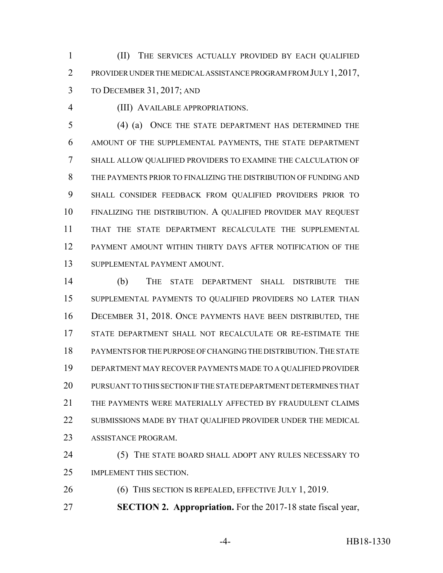(II) THE SERVICES ACTUALLY PROVIDED BY EACH QUALIFIED PROVIDER UNDER THE MEDICAL ASSISTANCE PROGRAM FROM JULY 1,2017, TO DECEMBER 31, 2017; AND

(III) AVAILABLE APPROPRIATIONS.

 (4) (a) ONCE THE STATE DEPARTMENT HAS DETERMINED THE AMOUNT OF THE SUPPLEMENTAL PAYMENTS, THE STATE DEPARTMENT SHALL ALLOW QUALIFIED PROVIDERS TO EXAMINE THE CALCULATION OF THE PAYMENTS PRIOR TO FINALIZING THE DISTRIBUTION OF FUNDING AND SHALL CONSIDER FEEDBACK FROM QUALIFIED PROVIDERS PRIOR TO FINALIZING THE DISTRIBUTION. A QUALIFIED PROVIDER MAY REQUEST THAT THE STATE DEPARTMENT RECALCULATE THE SUPPLEMENTAL PAYMENT AMOUNT WITHIN THIRTY DAYS AFTER NOTIFICATION OF THE SUPPLEMENTAL PAYMENT AMOUNT.

 (b) THE STATE DEPARTMENT SHALL DISTRIBUTE THE SUPPLEMENTAL PAYMENTS TO QUALIFIED PROVIDERS NO LATER THAN DECEMBER 31, 2018. ONCE PAYMENTS HAVE BEEN DISTRIBUTED, THE STATE DEPARTMENT SHALL NOT RECALCULATE OR RE-ESTIMATE THE PAYMENTS FOR THE PURPOSE OF CHANGING THE DISTRIBUTION.THE STATE DEPARTMENT MAY RECOVER PAYMENTS MADE TO A QUALIFIED PROVIDER PURSUANT TO THIS SECTION IF THE STATE DEPARTMENT DETERMINES THAT THE PAYMENTS WERE MATERIALLY AFFECTED BY FRAUDULENT CLAIMS 22 SUBMISSIONS MADE BY THAT QUALIFIED PROVIDER UNDER THE MEDICAL ASSISTANCE PROGRAM.

24 (5) THE STATE BOARD SHALL ADOPT ANY RULES NECESSARY TO IMPLEMENT THIS SECTION.

26 (6) THIS SECTION IS REPEALED, EFFECTIVE JULY 1, 2019.

**SECTION 2. Appropriation.** For the 2017-18 state fiscal year,